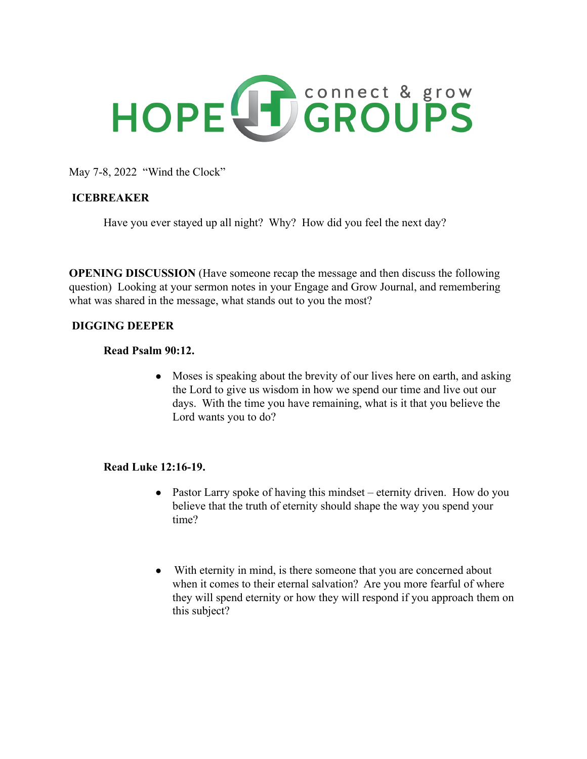

May 7-8, 2022 "Wind the Clock"

# **ICEBREAKER**

Have you ever stayed up all night? Why? How did you feel the next day?

**OPENING DISCUSSION** (Have someone recap the message and then discuss the following question) Looking at your sermon notes in your Engage and Grow Journal, and remembering what was shared in the message, what stands out to you the most?

#### **DIGGING DEEPER**

#### **Read Psalm 90:12.**

• Moses is speaking about the brevity of our lives here on earth, and asking the Lord to give us wisdom in how we spend our time and live out our days. With the time you have remaining, what is it that you believe the Lord wants you to do?

#### **Read Luke 12:16-19.**

- Pastor Larry spoke of having this mindset eternity driven. How do you believe that the truth of eternity should shape the way you spend your time?
- With eternity in mind, is there someone that you are concerned about when it comes to their eternal salvation? Are you more fearful of where they will spend eternity or how they will respond if you approach them on this subject?